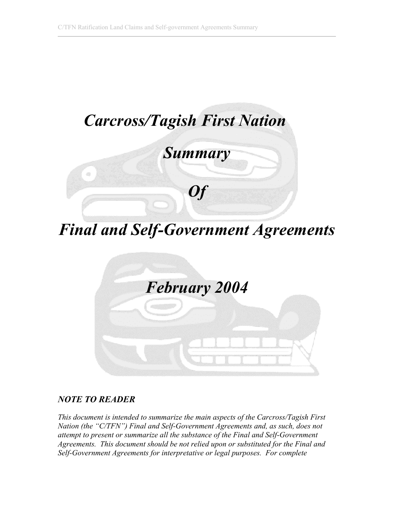

*Final and Self-Government Agreements* 



# *NOTE TO READER*

*his document is intended to summarize the main aspects of the Carcross/Tagish First T lf-Government Agreements and, as such, does not Nation (the "C/TFN") Final and Se ttempt to present or summarize all the substance of the Final and Self-Government a Agreements. This document should be not relied upon or substituted for the Final and Self-Government Agreements for interpretative or legal purposes. For complete*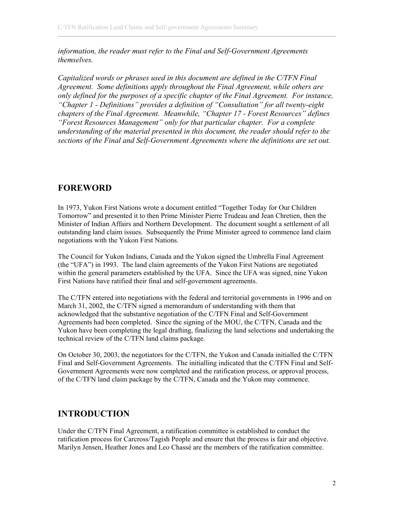*information, the reader must refer to the Final and Self-Government Agreements themselves.* 

*Capitalized words or phrases used in this document are defined in the C/TFN Fina l Agreement. Some definitions apply throughout the Final Agreement, while others are nly defined for the purposes of a specific chapter of the Final Agreement. For instance, o t s "Chapter 1 - Definitions" provides a definition of "Consultation" for all twenty-eigh chapters of the Final Agreement. Meanwhile, "Chapter 17 - Forest Resources" define "Forest Resources Management" only for that particular chapter. For a complete understanding of the material presented in this document, the reader should refer to the sections of the Final and Self-Government Agreements where the definitions are set out.*

# **FOREWORD**

1973, Yukon First Nations wrote a document entitled "Together Today for Our Children In Tomorrow" and presented it to then Prime Minister Pierre Trudeau and Jean Chretien, then the Minister of Indian Affairs and Northern Development. The document sought a settlement of all outstanding land claim issues. Subsequently the Prime Minister agreed to commence land claim negotiations with the Yukon First Nations.

(the "UFA") in 1993. The land claim agreements of the Yukon First Nations are negotiated within the general parameters established by the UFA. Since the UFA was signed, nine Yukon The Council for Yukon Indians, Canada and the Yukon signed the Umbrella Final Agreement First Nations have ratified their final and self-government agreements.

March 31, 2002, the C/TFN signed a memorandum of understanding with them that acknowledged that the substantive negotiation of the C/TFN Final and Self-Government Yukon have been completing the legal drafting, finalizing the land selections and undertaking the The C/TFN entered into negotiations with the federal and territorial governments in 1996 and on Agreements had been completed. Since the signing of the MOU, the C/TFN, Canada and the technical review of the C/TFN land claims package.

Final and Self-Government Agreements. The initialling indicated that the C/TFN Final and Self-Government Agreements were now completed and the ratification process, or approval process, On October 30, 2003, the negotiators for the C/TFN, the Yukon and Canada initialled the C/TFN of the C/TFN land claim package by the C/TFN, Canada and the Yukon may commence.

# **INTRODUCTION**

Under the C/TFN Final Agreement, a ratification committee is established to conduct the ratification process for Carcross/Tagish People and ensure that the process is fair and objective. Marilyn Jensen, Heather Jones and Leo Chassé are the members of the ratification committee.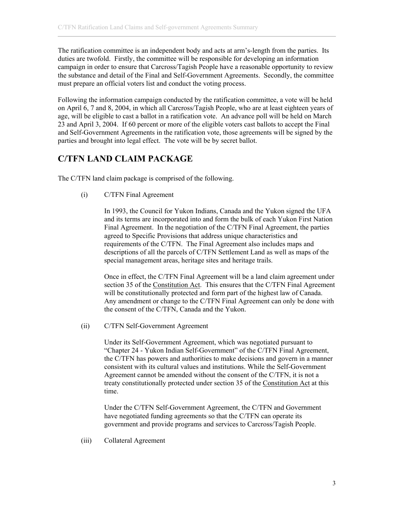The ratification committee is an independent body and acts at arm's-length from the partie s. Its duties are twofold. Firstly, the committee will be responsible for developing an information campaign in order to ensure that Carcross/Tagish People have a reasonable opportunity to revie w the substance and detail of the Final and Self-Government Agreements. Secondly, the committee must prepare an official voters list and conduct the voting process.

age, will be eligible to cast a ballot in a ratification vote. An advance poll will be held on March 3 and April 3, 2004. If 60 percent or more of the eligible voters cast ballots to accept the Final 2 Following the information campaign conducted by the ratification committee, a vote will be held on April 6, 7 and 8, 2004, in which all Carcross/Tagish People, who are at least eighteen years of and Self-Government Agreements in the ratification vote, those agreements will be signed by the parties and brought into legal effect. The vote will be by secret ballot.

# **C/TFN LAND CLAIM PACKAGE**

The C/TFN land claim package is comprised of the following.

(i) C/TFN Final Agreement

In 1993, the Council for Yukon Indians, Canada and the Yukon signed the UFA and its terms are incorporated into and form the bulk of each Yukon First Nation Final Agreement. In the negotiation of the C/TFN Final Agreement, the parties agreed to Specific Provisions that address unique characteristics and requirements of the C/TFN. The Final Agreement also includes maps and descriptions of all the parcels of C/TFN Settlement Land as well as maps of the special management areas, heritage sites and heritage trails.

Once in effect, the C/TFN Final Agreement will be a land claim agreement under section 35 of the Constitution Act. This ensures that the C/TFN Final Agreement will be constitutionally protected and form part of the highes t law of Canada. Any amendment or change to the C/TFN Final Agreement can only be done with the consent of the C/TFN, Canada and the Yukon.

(ii) C/TFN Self-Government Agreement

> Under its Self-Government Agreement, which was negotiated pursuant to "Chapter 24 - Yukon Indian Self-Government" of the C/TFN Final Agreement, the C/TFN has powers and authorities to make decisions and govern in a manner consistent with its cultural values and institutions. While the Self-Government Agreement cannot be amended without the consent of the C/TFN, it is not a treaty constitutionally protected under section 35 of the Constitution Act at this time.

Under the C/TFN Self-Government Agreement, the C/TFN and Government have negotiated funding agreements so that the C/TFN can operate its government and provide programs and services to Carcross/Tagish People.

(iii) Collateral Agreement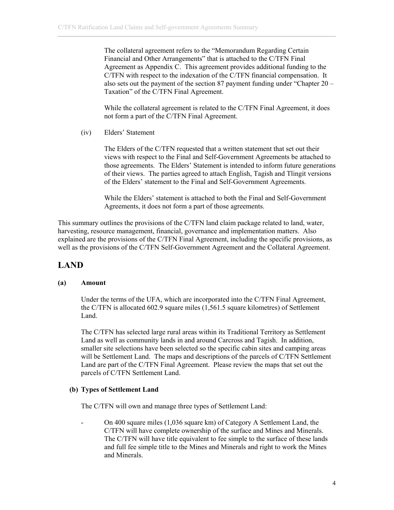The collateral agreement refers to the "Memorandum Regarding Certain Financial and Other Arrangements" that is attached to the C/TFN Final Agreement as Appendix C. This agreement provides additional funding to the C/TFN with respect to the indexation of the C/TFN financial compensation. It also sets out the payment of the section 87 payment funding under "Chapter  $20$  – Taxation" of the C/TFN Final Agreement.

not form a part of the C/TFN Final Agreement. While the collateral agreement is related to the C/TFN Final Agreement, it does

 $(iv)$ Elders' Statement

> The Elders of the C/TFN requested that a written statement that set out their views with respect to the Final and Self-Government Agreements be attached to those agreements. The Elders' Statement is intended to inform future generations of their views. The parties agreed to attach English, Tagish and Tlingit versions of the Elders' statement to the Final and Self-Government Agreements.

While the Elders' statement is attached to both the Final and Self-Government Agreements, it does not form a part of those agreements.

This summary outlines the provisions of the C/TFN land claim package related to land, water, harvesting, resource management, financial, governance and implementation matters. Also explained are the provisions of the C/TFN Final Agreement, including the specific provisions, as well as the provisions of the C/TFN Self-Government Agreement and the Collateral Agreement.

# **LAND**

#### **) Amount (a**

Under the terms of the UFA, which are incorporated into the C/TFN Final Agreement, the C/TFN is allocated  $602.9$  square miles  $(1,561.5)$  square kilometres) of Settlement Land.

The C/TFN has selected large rural areas within its Traditional Territory as Settlement Land as well as community lands in and around Carcross and Tagish. In addition, smaller site selections have been selected so the specific cabin sites and camping areas will be Settlement Land. The maps and descriptions of the parcels of C/TFN Settlement Land are part of the C/TFN Final Agreement. Please review the maps that set out the parcels of C/TFN Settlement Land.

# **(b) Types of Settlement Land**

The C/TFN will own and manage three types of Settlement Land:

On 400 square miles (1,036 square km) of Category A Settlement Land, the C/TFN will have complete ownership of the surface and Mines and Minerals. The C/TFN will have title equivalent to fee simple to the surface of these lands and full fee simple title to the Mines and Minerals and right to work the Mines and Minerals.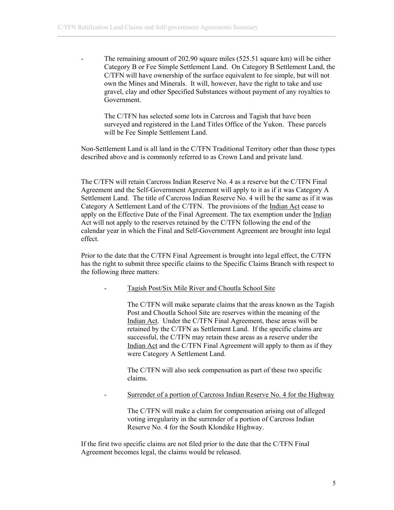- Category B or Fee Simple Settlement Land. On Category B Settlement Land, the C/TFN will have ownership of the surface equivalent to fee simple, but will not The remaining amount of 202.90 square miles (525.51 square km) will be either own the Mines and Minerals. It will, however, have the right to take and use gravel, clay and other Specified Substances without payment of any royalties to Government.

surveyed and registered in the Land Titles Office of the Yukon. These parcels will be Fee Simple Settlement Land. The C/TFN has selected some lots in Carcross and Tagish that have been

Non-Settlement Land is all land in the C/TFN Traditional Territory other than those types described above and is commonly referred to as Crown Land and private land.

The C/TFN will retain Carcross Indian Reserve No. 4 as a reserve but the C/TFN Final Agreement and the Self-Government Agreement will apply to it as if it was Category A Settlement Land. The title of Carcross Indian Reserve No. 4 will be the same as if it was Category A Settlement Land of the C/TFN. The provisions of the Indian Act cease to apply on the Effective Date of the Final Agreement. The tax exemption under the Indian Act will not apply to the reserves retained by the C/TFN following the end of the calendar year in which the Final and Self-Government Agreement are brought into lega l effect.

Prior to the date that the C/TFN Final Agreement is brought into legal effect, the C/TFN has the ri ght to submit three specific claims to the Specific Claims Branch with respect to the following three matters:

Tagish Post/Six Mile River and Choutla School Site

The C/TFN will make separate claims that the areas known as the Tagish Post and Choutla School Site are reserves within the meaning of the Indian Act. Under the C/TFN Final Agreement, these areas will be retained by the C/TFN as Settlement Land. If the specific claims are successful, the C/TFN may retain these areas as a reserve under the Indian Act and the C/TFN Final Agreement will apply to them as if they were Category A Settlement Land.

The C/TFN will also seek compensation as part of these two specific claims.

- Surrender of a portion of Carcross Indian Reserve No. 4 for the Highway

The C/TFN will make a claim for compensation arising out of alleged Reserve No. 4 for the South Klondike Highway. voting irregularity in the surrender of a portion of Carcross Indian

If the first two s pecific claims are not filed prior to the date that the C/TFN Final Agreement beco mes legal, the claims would be released.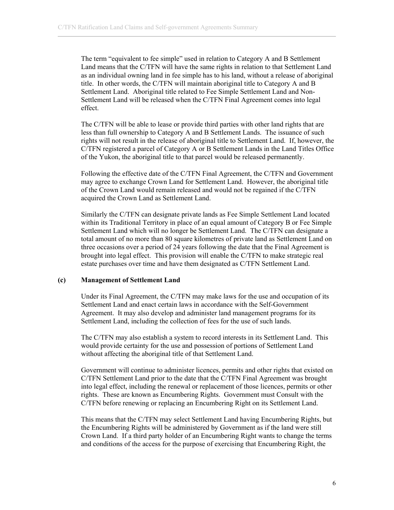The term "equivalent to fee simple" used in relation to Category A and B Settlement Land means that the C/TFN will have the same rights in relation to that Settlement Land as an individual owning land in fee simple has to his land, without a release of aboriginal title. In other words, the C/TFN will maintain aboriginal title to Category A and B Settlement Land. Aboriginal title related to Fee Simple Settlement Land and Non-Settlement Land will be released when the C/TFN Final Agreement comes into legal effect.

less than full ownership to Category A and B Settlement Lands. The issuance of such rights will not result in the release of aboriginal title to Settlement Land. If, however, the C/TFN registered a parcel of Category A or B Settlement Lands in the Land Titles Office The C/TFN will be able to lease or provide third parties with other land rights that are of the Yukon, the aboriginal title to that parcel would be released permanently.

may agree to exchange Crown Land for Settlement Land. However, the aboriginal title of the Crown Land would remain released and would not be regained if the C/TFN Following the effective date of the C/TFN Final Agreement, the C/TFN and Government acquired the Crown Land as Settlement Land.

Similarly the C/TFN can designate private lands as Fee Simple Settlement Land located within its Traditional Territory in place of an equal amount of Category B or Fee Simple Settlement Land which will no longer be Settlement Land. The C/TFN can designate a total amount of no more than 80 square kilometres of private land as Settlement Land on three occasions over a period of 24 years following the date that the Final Agreement is brought into legal effect. This provision will enable the C/TFN to make strategic real estate purchases over time and have them designated as C/TFN Settlement Land.

#### **(c) Management of Settlement Land**

Under its Final Agreement, the C/TFN may make laws for the use and occupation of its Settlement Land and enact certain laws in accordance with the Self-Government Agreement. It may also develop and administer land management programs for its Settlement Land, including the collection of fees for the use of such lands.

The C/TFN may also establish a system to record interests in its Settlement Land. This would provide certainty for the use and possession of portions of Settlement Land without affecting the aboriginal title of that Settlement Land.

Government will continue to administer licences, permits and other rights that existed on C/TFN Settlement Land prior to the date that the C/TFN Final Agreement was brought into legal effect, including the renewal or replacement of those licences, permits or other rights. These are known as Encumbering Rights. Government must Consult with the C/TFN before renewing or replacing an Encumbering Right on its Settlement Land.

This means that the C/TFN may select Settlement Land having Encumbering Rights, but Crown Land. If a third party holder of an Encumbering Right wants to change the terms the Encumbering Rights will be administered by Government as if the land were still and conditions of the access for the purpose of exercising that Encumbering Right, the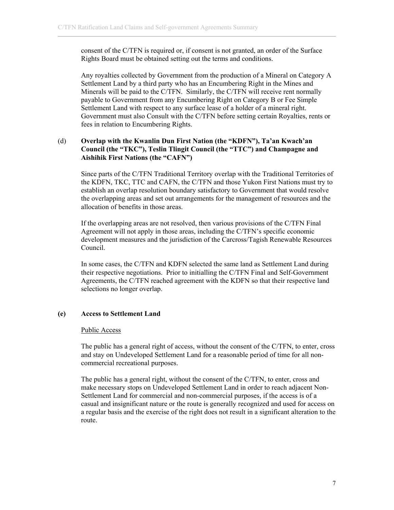consent of the C/TFN is required or, if consent is not granted, an order of the Surface Rights Board must be obtained setting out the terms and conditions.

Any royalties collected by Government from the production of a Mineral on Category A Settlement Land by a third party who has an Encumbering Right in the Mines and Government must also Consult with the C/TFN before setting certain Royalties, rents or Minerals will be paid to the C/TFN. Similarly, the C/TFN will receive rent normally payable to Government from any Encumbering Right on Category B or Fee Simple Settlement Land with respect to any surface lease of a holder of a mineral right. fees in relation to Encumbering Rights.

## (d) **ation (the "KDFN"), Ta'an Kwach'an Overlap with the Kwanlin Dun First N ouncil (the "TKC"), Teslin Tlingit Council (the "TTC") and Champagne and C Aishihik First Nations (the "CAFN")**

Since parts of the C/TFN Traditional Territory overlap with the Traditional Territories of the KDFN, TKC, TTC and CAFN, the C/TFN and those Yukon First Nations must try to establish an overlap resolution boundary satisfactory to Government that would resolve the overlapping areas and set out arrangements for the management of resources and the allocation of benefits in those areas.

If the overlapping areas are not resolved, then various provisions of the C/TFN Final Agreement will not apply in those areas, including the C/TFN's specific economic development measures and the jurisdiction of the Carcross/Tagish Renewable Resources Council.

In some cases, the C/TFN and KDFN selected the same land as Settlement Land during their respective negotiations. Prior to initialling the C/TFN Final and Self-Government Agreements, the C/TFN reached agreement with the KDFN so that their respective land selections no longer overlap.

#### **) Access to Settlement Land (e**

#### Public Access

The public has a general right of access, without the consent of the C/TFN, to enter, cross and stay on Undeveloped Settlement Land for a reasonable period of time for all noncommercial recreational purposes.

The public has a general right, without the consent of the C/TFN, to enter, cross and make necessary stops on Undeveloped Settlement Land in order to reach adjacent Noncasual and insignificant nature or the route is generally recognized and used for access on a regular basis and the exercise of the right does not result in a significant alteration to the Settlement Land for commercial and non-commercial purposes, if the access is of a route.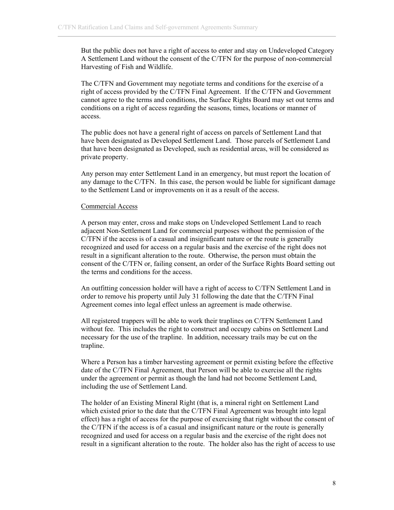But the public does not have a right of access to enter and stay on Undeveloped Category A Settlement Land without the consent of the C/TFN for the purpose of non-commercial Harvesting of Fish and Wildlife.

The C/TFN and Government may negotiate terms and conditions for the exercise of a right of access provided by the C/TFN Final Agreement. If the C/TFN and Government cannot agree to the terms and conditions, the Surface Rights Board may set out terms and conditions on a right of access regarding the seasons, times, locations or manner of access.

The public does not have a general right of access on parcels of Settlement Land that have been designated as Developed Settlement Land. Those parcels of Settlement Land that have been designated as Developed, such as residential areas, will be considered as private property.

Any person may enter Settlement Land in an emergency, but must report the location of any damage to the C/TFN. In this case, the person would be liable for significant damage to the Settlement Land or improvements on it as a result of the access.

#### Commercial Access

A person may enter, cross and make stops on Undeveloped Settlement Land to reach adjacent Non-Settlement Land for commercial purposes without the permission of the C/TFN if the access is of a casual and insignificant nature or the route is generally recognized and used for access on a regular basis and the exercise of the right does not result in a significant alteration to the route. Otherwise, the person must obtain the consent of the C/TFN or, failing consent, an order of the Surface Rights Board setting out the terms and conditions for the access.

An outfitting concession holder will have a right of access to C/TFN Settlement Land in order to remove his property until July 31 following the date that the C/TFN Final Agreement comes into legal effect unless an agreement is made otherwise.

All registered trappers will be able to work their traplines on C/TFN Settlement Land without fee. This includes the right to construct and occupy cabins on Settlement Land necessary for the use of the trapline. In addition, necessary trails may be cut on the trapline.

Where a Person has a timber harvesting agreement or permit existing before the effective date of the C/TFN Final Agreement, that Person will be able to exercise all the rights under the agreement or permit as though the land had not become Settlement Land, including the use of Settlement Land.

The holder of an Existing Mineral Right (that is, a mineral right on Settlement Land which existed prior to the date that the C/TFN Final Agreement was brought into legal effect) has a right of access for the purpose of exercising that right without the consent of the C/TFN if the access is of a casual and insignificant nature or the route is generally recognized and used for access on a regular basis and the exercise of the right does not result in a significant alteration to the route. The holder also has the right of access to use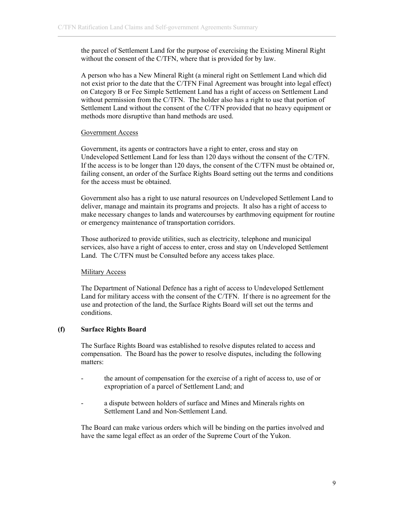the parcel of Settlement Land for the purpose of exercising the Existing Mineral Right without the consent of the C/TFN, where that is provided for by law.

A person who has a New Mineral Right (a mineral right on Settlement Land which did not exist prior to the date that the C/TFN Final Agreement was brought into legal effect) on Category B or Fee Simple Settlement Land has a right of access on Settlement Land without permission from the C/TFN. The holder also has a right to use that portion of Settlement Land without the consent of the C/TFN provided that no heavy equipment or methods more disruptive than hand methods are used.

#### Government Access

Government, its agents or contractors have a right to enter, cross and stay on Undeveloped Settlement Land for less than 120 days without the consent of the C/TFN. If the access is to be longer than 120 days, the consent of the C/TFN must be obtained or, failing consent, an order of the Surface Rights Board setting out the terms and conditions for the access must be obtained.

Government also has a right to use natural resources on Undeveloped Settlement Land to deliver, manage and maintain its programs and projects. It also has a right of access to make necessary changes to lands and watercourses by earthmoving equipment for routine or emergency maintenance of transportation corridors.

Those authorized to provide utilities, such as electricity, telephone and municipal services, also have a right of access to enter, cross and stay on Undeveloped Settlement Land. The C/TFN must be Consulted before any access takes place.

## Military Access

The Department of National Defence has a right of access to Undeveloped Settlement Land for military access with the consent of the C/TFN. If there is no agreement for the use and protection of the land, the Surface Rights Board will set out the terms and conditions.

## **(f) Surface Rights Board**

The Surface Rights Board was established to resolve disputes related to access and compensation. The Board has the power to resolve disputes, including the following matters:

- the amount of compensation for the exercise of a right of access to, use of or expropriation of a parcel of Settlement Land; and
- a dispute between holders of surface and Mines and Minerals rights on Settlement Land and Non-Settlement Land.

The Board can make various orders which will be binding on the parties involved and have the same legal effect as an order of the Supreme Court of the Yukon.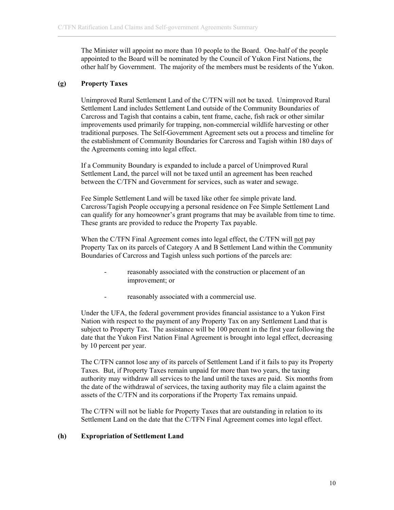The Minister will appoint no more than 10 people to the Board. One-half of the people appointed to the Board will be nominated by the Council of Yukon First Nations, the other half by Government. The majority of the members must be residents of the Yukon.

# **(g) Property Taxes**

Unimproved Rural Settlement Land of the C/TFN will not be taxed. Unimproved Rural Settlement Land includes Settlement Land outside of the Community Boundaries of Carcross and Tagish that contains a cabin, tent frame, cache, fish rack or other similar improvements used primarily for trapping, non-commercial wildlife harvesting or other traditional purposes. The Self-Government Agreement sets out a process and timeline for the establishment of Community Boundaries for Carcross and Tagish within 180 days of the Agreements coming into legal effect.

If a Community Boundary is expanded to include a parcel of Unimproved Rural Settlement Land, the parcel will not be taxed until an agreement has been reached between the C/TFN and Government for services, such as water and sewage.

Fee Simple Settlement Land will be taxed like other fee simple private land. Carcross/Tagish People occupying a personal residence on Fee Simple Settlement Land can qualify for any homeowner's grant programs that may be available from time to time. These grants are provided to reduce the Property Tax payable.

When the C/TFN Final Agreement comes into legal effect, the C/TFN will not pay Property Tax on its parcels of Category A and B Settlement Land within the Community Boundaries of Carcross and Tagish unless such portions of the parcels are:

- reasonably associated with the construction or placement of an improvement; or
- reasonably associated with a commercial use.

Under the UFA, the federal government provides financial assistance to a Yukon First Nation with respect to the payment of any Property Tax on any Settlement Land that is subject to Property Tax. The assistance will be 100 percent in the first year following the date that the Yukon First Nation Final Agreement is brought into legal effect, decreasing by 10 percent per year.

The C/TFN cannot lose any of its parcels of Settlement Land if it fails to pay its Property Taxes. But, if Property Taxes remain unpaid for more than two years, the taxing authority may withdraw all services to the land until the taxes are paid. Six months from the date of the withdrawal of services, the taxing authority may file a claim against the assets of the C/TFN and its corporations if the Property Tax remains unpaid.

The C/TFN will not be liable for Property Taxes that are outstanding in relation to its Settlement Land on the date that the C/TFN Final Agreement comes into legal effect.

## **(h) Expropriation of Settlement Land**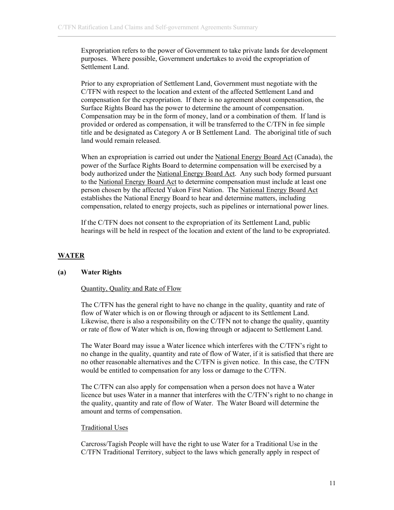Expropriation refers to the power of Government to take private lands for development purposes. Where possible, Government undertakes to avoid the expropriation of Settlement Land.

Prior to any expropriation of Settlement Land, Government must negotiate with the C/TFN with respect to the location and extent of the affected Settlement Land and compensation for the expropriation. If there is no agreement about compensation, the Surface Rights Board has the power to determine the amount of compensation. Compensation may be in the form of money, land or a combination of them. If land is provided or ordered as compensation, it will be transferred to the C/TFN in fee simple title and be designated as Category A or B Settlement Land. The aboriginal title of such land would remain released.

When an expropriation is carried out under the National Energy Board Act (Canada), the power of the Surface Rights Board to determine compensation will be exercised by a body authorized under the National Energy Board Act. Any such body formed pursuant to the National Energy Board Act to determine compensation must include at least one person chosen by the affected Yukon First Nation. The National Energy Board Act establishes the National Energy Board to hear and determine matters, including compensation, related to energy projects, such as pipelines or international power lines.

If the C/TFN does not consent to the expropriation of its Settlement Land, public hearings will be held in respect of the location and extent of the land to be expropriated.

## **WATER**

#### **(a) Water Rights**

#### Quantity, Quality and Rate of Flow

The C/TFN has the general right to have no change in the quality, quantity and rate of flow of Water which is on or flowing through or adjacent to its Settlement Land. Likewise, there is also a responsibility on the C/TFN not to change the quality, quantity or rate of flow of Water which is on, flowing through or adjacent to Settlement Land.

The Water Board may issue a Water licence which interferes with the C/TFN's right to no change in the quality, quantity and rate of flow of Water, if it is satisfied that there are no other reasonable alternatives and the C/TFN is given notice. In this case, the C/TFN would be entitled to compensation for any loss or damage to the C/TFN.

The C/TFN can also apply for compensation when a person does not have a Water licence but uses Water in a manner that interferes with the C/TFN's right to no change in the quality, quantity and rate of flow of Water. The Water Board will determine the amount and terms of compensation.

#### Traditional Uses

Carcross/Tagish People will have the right to use Water for a Traditional Use in the C/TFN Traditional Territory, subject to the laws which generally apply in respect of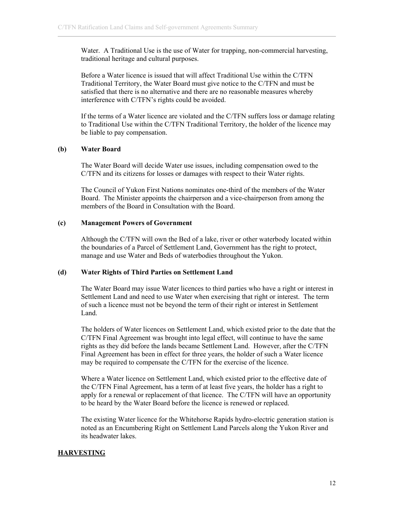Water. A Traditional Use is the use of Water for trapping, non-commercial harvesting, traditional heritage and cultural purposes.

Before a Water licence is issued that will affect Traditional Use within the C/TFN Traditional Territory, the Water Board must give notice to the C/TFN and must be satisfied that there is no alternative and there are no reasonable measures whereby interference with C/TFN's rights could be avoided.

If the terms of a Water licence are violated and the C/TFN suffers loss or damage relating to Traditional Use within the C/TFN Traditional Territory, the holder of the licence may be liable to pay compensation.

#### **(b) Water Board**

The Water Board will decide Water use issues, including compensation owed to the C/TFN and its citizens for losses or damages with respect to their Water rights.

The Council of Yukon First Nations nominates one-third of the members of the Water Board. The Minister appoints the chairperson and a vice-chairperson from among the members of the Board in Consultation with the Board.

#### **(c) Management Powers of Government**

Although the C/TFN will own the Bed of a lake, river or other waterbody located within the boundaries of a Parcel of Settlement Land, Government has the right to protect, manage and use Water and Beds of waterbodies throughout the Yukon.

#### **(d) Water Rights of Third Parties on Settlement Land**

The Water Board may issue Water licences to third parties who have a right or interest in Settlement Land and need to use Water when exercising that right or interest. The term of such a licence must not be beyond the term of their right or interest in Settlement Land.

The holders of Water licences on Settlement Land, which existed prior to the date that the C/TFN Final Agreement was brought into legal effect, will continue to have the same rights as they did before the lands became Settlement Land. However, after the C/TFN Final Agreement has been in effect for three years, the holder of such a Water licence may be required to compensate the C/TFN for the exercise of the licence.

Where a Water licence on Settlement Land, which existed prior to the effective date of the C/TFN Final Agreement, has a term of at least five years, the holder has a right to apply for a renewal or replacement of that licence. The C/TFN will have an opportunity to be heard by the Water Board before the licence is renewed or replaced.

The existing Water licence for the Whitehorse Rapids hydro-electric generation station is noted as an Encumbering Right on Settlement Land Parcels along the Yukon River and its headwater lakes.

## **HARVESTING**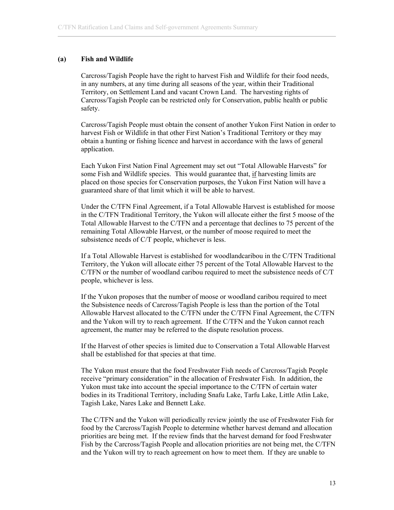#### **(a) Fish and Wildlife**

Carcross/Tagish People have the right to harvest Fish and Wildlife for their food needs, in any numbers, at any time during all seasons of the year, within their Traditional Territory, on Settlement Land and vacant Crown Land. The harvesting rights of Carcross/Tagish People can be restricted only for Conservation, public health or public safety.

Carcross/Tagish People must obtain the consent of another Yukon First Nation in order to harvest Fish or Wildlife in that other First Nation's Traditional Territory or they may obtain a hunting or fishing licence and harvest in accordance with the laws of general application.

Each Yukon First Nation Final Agreement may set out "Total Allowable Harvests" for some Fish and Wildlife species. This would guarantee that, if harvesting limits are placed on those species for Conservation purposes, the Yukon First Nation will have a guaranteed share of that limit which it will be able to harvest.

Under the C/TFN Final Agreement, if a Total Allowable Harvest is established for moose in the C/TFN Traditional Territory, the Yukon will allocate either the first 5 moose of the Total Allowable Harvest to the C/TFN and a percentage that declines to 75 percent of the remaining Total Allowable Harvest, or the number of moose required to meet the subsistence needs of C/T people, whichever is less.

If a Total Allowable Harvest is established for woodlandcaribou in the C/TFN Traditional Territory, the Yukon will allocate either 75 percent of the Total Allowable Harvest to the C/TFN or the number of woodland caribou required to meet the subsistence needs of C/T people, whichever is less.

If the Yukon proposes that the number of moose or woodland caribou required to meet the Subsistence needs of Carcross/Tagish People is less than the portion of the Total Allowable Harvest allocated to the C/TFN under the C/TFN Final Agreement, the C/TFN and the Yukon will try to reach agreement. If the C/TFN and the Yukon cannot reach agreement, the matter may be referred to the dispute resolution process.

If the Harvest of other species is limited due to Conservation a Total Allowable Harvest shall be established for that species at that time.

The Yukon must ensure that the food Freshwater Fish needs of Carcross/Tagish People receive "primary consideration" in the allocation of Freshwater Fish. In addition, the Yukon must take into account the special importance to the C/TFN of certain water bodies in its Traditional Territory, including Snafu Lake, Tarfu Lake, Little Atlin Lake, Tagish Lake, Nares Lake and Bennett Lake.

The C/TFN and the Yukon will periodically review jointly the use of Freshwater Fish for food by the Carcross/Tagish People to determine whether harvest demand and allocation priorities are being met. If the review finds that the harvest demand for food Freshwater Fish by the Carcross/Tagish People and allocation priorities are not being met, the C/TFN and the Yukon will try to reach agreement on how to meet them. If they are unable to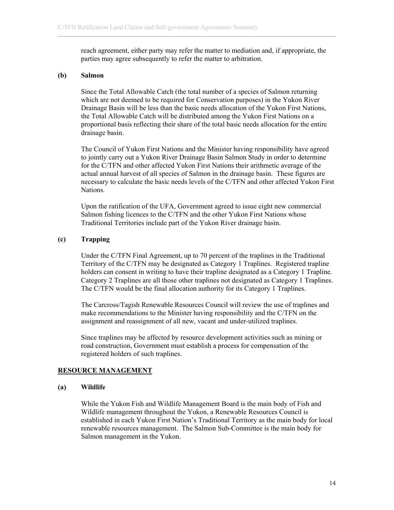reach agreement, either party may refer the matter to mediation and, if appropriate, the parties may agree subsequently to refer the matter to arbitration.

#### **(b) Salmon**

Since the Total Allowable Catch (the total number of a species of Salmon returning which are not deemed to be required for Conservation purposes) in the Yukon River Drainage Basin will be less than the basic needs allocation of the Yukon First Nations, the Total Allowable Catch will be distributed among the Yukon First Nations on a proportional basis reflecting their share of the total basic needs allocation for the entire drainage basin.

The Council of Yukon First Nations and the Minister having responsibility have agreed to jointly carry out a Yukon River Drainage Basin Salmon Study in order to determine for the C/TFN and other affected Yukon First Nations their arithmetic average of the actual annual harvest of all species of Salmon in the drainage basin. These figures are necessary to calculate the basic needs levels of the C/TFN and other affected Yukon First Nations.

Upon the ratification of the UFA, Government agreed to issue eight new commercial Salmon fishing licences to the C/TFN and the other Yukon First Nations whose Traditional Territories include part of the Yukon River drainage basin.

#### **(c) Trapping**

Under the C/TFN Final Agreement, up to 70 percent of the traplines in the Traditional Territory of the C/TFN may be designated as Category 1 Traplines. Registered trapline holders can consent in writing to have their trapline designated as a Category 1 Trapline. Category 2 Traplines are all those other traplines not designated as Category 1 Traplines. The C/TFN would be the final allocation authority for its Category 1 Traplines.

The Carcross/Tagish Renewable Resources Council will review the use of traplines and make recommendations to the Minister having responsibility and the C/TFN on the assignment and reassignment of all new, vacant and under-utilized traplines.

Since traplines may be affected by resource development activities such as mining or road construction, Government must establish a process for compensation of the registered holders of such traplines.

#### **RESOURCE MANAGEMENT**

#### **(a) Wildlife**

While the Yukon Fish and Wildlife Management Board is the main body of Fish and Wildlife management throughout the Yukon, a Renewable Resources Council is established in each Yukon First Nation's Traditional Territory as the main body for local renewable resources management. The Salmon Sub-Committee is the main body for Salmon management in the Yukon.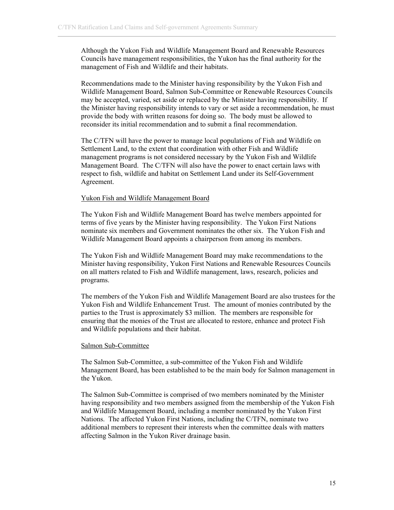Although the Yukon Fish and Wildlife Management Board and Renewable Resources Councils have management responsibilities, the Yukon has the final authority for the management of Fish and Wildlife and their habitats.

Recommendations made to the Minister having responsibility by the Yukon Fish and Wildlife Management Board, Salmon Sub-Committee or Renewable Resources Councils may be accepted, varied, set aside or replaced by the Minister having responsibility. If the Minister having responsibility intends to vary or set aside a recommendation, he must provide the body with written reasons for doing so. The body must be allowed to reconsider its initial recommendation and to submit a final recommendation.

The C/TFN will have the power to manage local populations of Fish and Wildlife on Settlement Land, to the extent that coordination with other Fish and Wildlife management programs is not considered necessary by the Yukon Fish and Wildlife Management Board. The C/TFN will also have the power to enact certain laws with respect to fish, wildlife and habitat on Settlement Land under its Self-Government Agreement.

## Yukon Fish and Wildlife Management Board

The Yukon Fish and Wildlife Management Board has twelve members appointed for terms of five years by the Minister having responsibility. The Yukon First Nations nominate six members and Government nominates the other six. The Yukon Fish and Wildlife Management Board appoints a chairperson from among its members.

The Yukon Fish and Wildlife Management Board may make recommendations to the Minister having responsibility, Yukon First Nations and Renewable Resources Councils on all matters related to Fish and Wildlife management, laws, research, policies and programs.

The members of the Yukon Fish and Wildlife Management Board are also trustees for the Yukon Fish and Wildlife Enhancement Trust. The amount of monies contributed by the parties to the Trust is approximately \$3 million. The members are responsible for ensuring that the monies of the Trust are allocated to restore, enhance and protect Fish and Wildlife populations and their habitat.

#### Salmon Sub-Committee

The Salmon Sub-Committee, a sub-committee of the Yukon Fish and Wildlife Management Board, has been established to be the main body for Salmon management in the Yukon.

The Salmon Sub-Committee is comprised of two members nominated by the Minister having responsibility and two members assigned from the membership of the Yukon Fish and Wildlife Management Board, including a member nominated by the Yukon First Nations. The affected Yukon First Nations, including the C/TFN, nominate two additional members to represent their interests when the committee deals with matters affecting Salmon in the Yukon River drainage basin.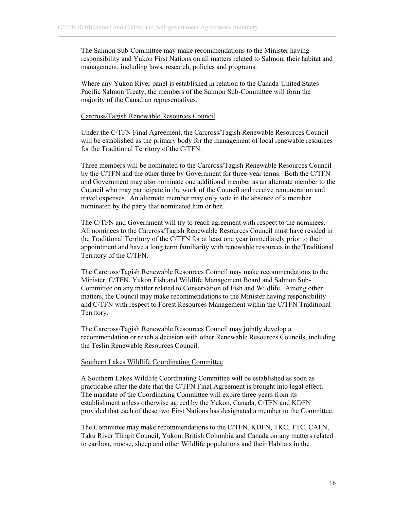The Salmon Sub-Committee may make recommendations to the Minister having responsibility and Yukon First Nations on all matters related to Salmon, their habitat and management, including laws, research, policies and programs.

Where any Yukon River panel is established in relation to the Canada-United States Pacific Salmon Treaty, the members of the Salmon Sub-Committee will form the majority of the Canadian representatives.

#### Carcross/Tagish Renewable Resources Council

Under the C/TFN Final Agreement, the Carcross/Tagish Renewable Resources Council will be established as the primary body for the management of local renewable resources for the Traditional Territory of the C/TFN.

Three members will be nominated to the Carcross/Tagish Renewable Resources Council by the C/TFN and the other three by Government for three-year terms. Both the C/TFN and Government may also nominate one additional member as an alternate member to the Council who may participate in the work of the Council and receive remuneration and travel expenses. An alternate member may only vote in the absence of a member nominated by the party that nominated him or her.

The C/TFN and Government will try to reach agreement with respect to the nominees. All nominees to the Carcross/Tagish Renewable Resources Council must have resided in the Traditional Territory of the C/TFN for at least one year immediately prior to their appointment and have a long term familiarity with renewable resources in the Traditional Territory of the C/TFN.

The Carcross/Tagish Renewable Resources Council may make recommendations to the Minister, C/TFN, Yukon Fish and Wildlife Management Board and Salmon Sub-Committee on any matter related to Conservation of Fish and Wildlife. Among other matters, the Council may make recommendations to the Minister having responsibility and C/TFN with respect to Forest Resources Management within the C/TFN Traditional Territory.

The Carcross/Tagish Renewable Resources Council may jointly develop a recommendation or reach a decision with other Renewable Resources Councils, including the Teslin Renewable Resources Council.

#### Southern Lakes Wildlife Coordinating Committee

A Southern Lakes Wildlife Coordinating Committee will be established as soon as practicable after the date that the C/TFN Final Agreement is brought into legal effect. The mandate of the Coordinating Committee will expire three years from its establishment unless otherwise agreed by the Yukon, Canada, C/TFN and KDFN provided that each of these two First Nations has designated a member to the Committee.

The Committee may make recommendations to the C/TFN, KDFN, TKC, TTC, CAFN, Taku River Tlingit Council, Yukon, British Columbia and Canada on any matters related to caribou, moose, sheep and other Wildlife populations and their Habitats in the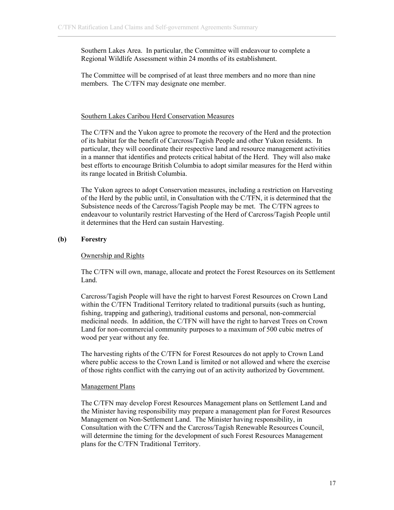Southern Lakes Area. In particular, the Committee will endeavour to complete a Regional Wildlife Assessment within 24 months of its establishment.

The Committee will be comprised of at least three members and no more than nine members. The C/TFN may designate one member.

#### Southern Lakes Caribou Herd Conservation Measures

The C/TFN and the Yukon agree to promote the recovery of the Herd and the protection of its habitat for the benefit of Carcross/Tagish People and other Yukon residents. In particular, they will coordinate their respective land and resource management activities in a manner that identifies and protects critical habitat of the Herd. They will also make best efforts to encourage British Columbia to adopt similar measures for the Herd within its range located in British Columbia.

The Yukon agrees to adopt Conservation measures, including a restriction on Harvesting of the Herd by the public until, in Consultation with the C/TFN, it is determined that the Subsistence needs of the Carcross/Tagish People may be met. The C/TFN agrees to endeavour to voluntarily restrict Harvesting of the Herd of Carcross/Tagish People until it determines that the Herd can sustain Harvesting.

## **(b) Forestry**

## Ownership and Rights

The C/TFN will own, manage, allocate and protect the Forest Resources on its Settlement Land.

Carcross/Tagish People will have the right to harvest Forest Resources on Crown Land within the C/TFN Traditional Territory related to traditional pursuits (such as hunting, fishing, trapping and gathering), traditional customs and personal, non-commercial medicinal needs. In addition, the C/TFN will have the right to harvest Trees on Crown Land for non-commercial community purposes to a maximum of 500 cubic metres of wood per year without any fee.

The harvesting rights of the C/TFN for Forest Resources do not apply to Crown Land where public access to the Crown Land is limited or not allowed and where the exercise of those rights conflict with the carrying out of an activity authorized by Government.

#### Management Plans

The C/TFN may develop Forest Resources Management plans on Settlement Land and the Minister having responsibility may prepare a management plan for Forest Resources Management on Non-Settlement Land. The Minister having responsibility, in Consultation with the C/TFN and the Carcross/Tagish Renewable Resources Council, will determine the timing for the development of such Forest Resources Management plans for the C/TFN Traditional Territory.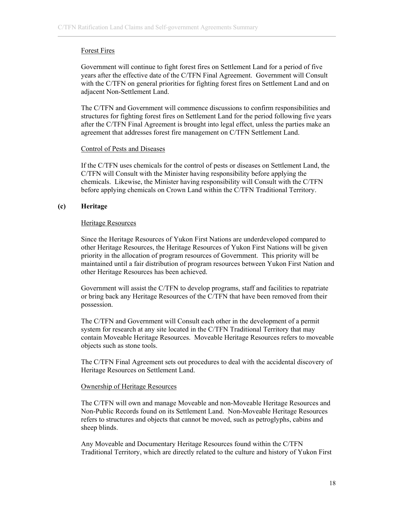# Forest Fires

Government will continue to fight forest fires on Settlement Land for a period of five years after the effective date of the C/TFN Final Agreement. Government will Consult with the C/TFN on general priorities for fighting forest fires on Settlement Land and on adjacent Non-Settlement Land.

The C/TFN and Government will commence discussions to confirm responsibilities and structures for fighting forest fires on Settlement Land for the period following five years after the C/TFN Final Agreement is brought into legal effect, unless the parties make an agreement that addresses forest fire management on C/TFN Settlement Land.

## Control of Pests and Diseases

If the C/TFN uses chemicals for the control of pests or diseases on Settlement Land, the C/TFN will Consult with the Minister having responsibility before applying the chemicals. Likewise, the Minister having responsibility will Consult with the C/TFN before applying chemicals on Crown Land within the C/TFN Traditional Territory.

# **(c) Heritage**

# Heritage Resources

Since the Heritage Resources of Yukon First Nations are underdeveloped compared to other Heritage Resources, the Heritage Resources of Yukon First Nations will be given priority in the allocation of program resources of Government. This priority will be maintained until a fair distribution of program resources between Yukon First Nation and other Heritage Resources has been achieved.

Government will assist the C/TFN to develop programs, staff and facilities to repatriate or bring back any Heritage Resources of the C/TFN that have been removed from their possession.

The C/TFN and Government will Consult each other in the development of a permit system for research at any site located in the C/TFN Traditional Territory that may contain Moveable Heritage Resources. Moveable Heritage Resources refers to moveable objects such as stone tools.

The C/TFN Final Agreement sets out procedures to deal with the accidental discovery of Heritage Resources on Settlement Land.

## Ownership of Heritage Resources

The C/TFN will own and manage Moveable and non-Moveable Heritage Resources and Non-Public Records found on its Settlement Land. Non-Moveable Heritage Resources refers to structures and objects that cannot be moved, such as petroglyphs, cabins and sheep blinds.

Any Moveable and Documentary Heritage Resources found within the C/TFN Traditional Territory, which are directly related to the culture and history of Yukon First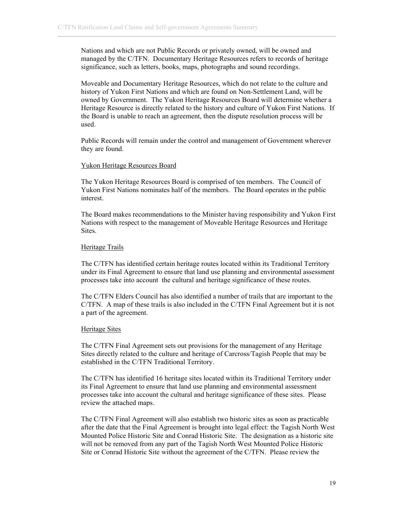Nations and which are not Public Records or privately owned, will be owned and managed by the C/TFN. Documentary Heritage Resources refers to records of heritage significance, such as letters, books, maps, photographs and sound recordings.

Moveable and Documentary Heritage Resources, which do not relate to the culture and history of Yukon First Nations and which are found on Non-Settlement Land, will be owned by Government. The Yukon Heritage Resources Board will determine whether a Heritage Resource is directly related to the history and culture of Yukon First Nations. If the Board is unable to reach an agreement, then the dispute resolution process will be used.

Public Records will remain under the control and management of Government wherever they are found.

#### Yukon Heritage Resources Board

The Yukon Heritage Resources Board is comprised of ten members. The Council of Yukon First Nations nominates half of the members. The Board operates in the public interest.

The Board makes recommendations to the Minister having responsibility and Yukon First Nations with respect to the management of Moveable Heritage Resources and Heritage Sites.

#### Heritage Trails

The C/TFN has identified certain heritage routes located within its Traditional Territory under its Final Agreement to ensure that land use planning and environmental assessment processes take into account the cultural and heritage significance of these routes.

The C/TFN Elders Council has also identified a number of trails that are important to the C/TFN. A map of these trails is also included in the C/TFN Final Agreement but it is not a part of the agreement.

#### Heritage Sites

The C/TFN Final Agreement sets out provisions for the management of any Heritage Sites directly related to the culture and heritage of Carcross/Tagish People that may be established in the C/TFN Traditional Territory.

The C/TFN has identified 16 heritage sites located within its Traditional Territory under its Final Agreement to ensure that land use planning and environmental assessment processes take into account the cultural and heritage significance of these sites. Please review the attached maps.

The C/TFN Final Agreement will also establish two historic sites as soon as practicable after the date that the Final Agreement is brought into legal effect: the Tagish North West Mounted Police Historic Site and Conrad Historic Site. The designation as a historic site will not be removed from any part of the Tagish North West Mounted Police Historic Site or Conrad Historic Site without the agreement of the C/TFN. Please review the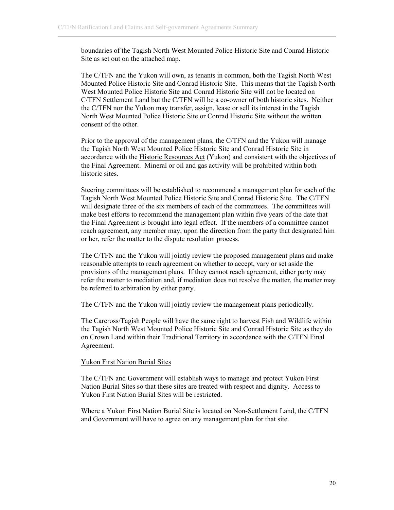boundaries of the Tagish North West Mounted Police Historic Site and Conrad Historic Site as set out on the attached map.

The C/TFN and the Yukon will own, as tenants in common, both the Tagish North West Mounted Police Historic Site and Conrad Historic Site. This means that the Tagish North West Mounted Police Historic Site and Conrad Historic Site will not be located on C/TFN Settlement Land but the C/TFN will be a co-owner of both historic sites. Neither the C/TFN nor the Yukon may transfer, assign, lease or sell its interest in the Tagish North West Mounted Police Historic Site or Conrad Historic Site without the written consent of the other.

Prior to the approval of the management plans, the C/TFN and the Yukon will manage the Tagish North West Mounted Police Historic Site and Conrad Historic Site in accordance with the Historic Resources Act (Yukon) and consistent with the objectives of the Final Agreement. Mineral or oil and gas activity will be prohibited within both historic sites.

Steering committees will be established to recommend a management plan for each of the Tagish North West Mounted Police Historic Site and Conrad Historic Site. The C/TFN will designate three of the six members of each of the committees. The committees will make best efforts to recommend the management plan within five years of the date that the Final Agreement is brought into legal effect. If the members of a committee cannot reach agreement, any member may, upon the direction from the party that designated him or her, refer the matter to the dispute resolution process.

The C/TFN and the Yukon will jointly review the proposed management plans and make reasonable attempts to reach agreement on whether to accept, vary or set aside the provisions of the management plans. If they cannot reach agreement, either party may refer the matter to mediation and, if mediation does not resolve the matter, the matter may be referred to arbitration by either party.

The C/TFN and the Yukon will jointly review the management plans periodically.

The Carcross/Tagish People will have the same right to harvest Fish and Wildlife within the Tagish North West Mounted Police Historic Site and Conrad Historic Site as they do on Crown Land within their Traditional Territory in accordance with the C/TFN Final Agreement.

# Yukon First Nation Burial Sites

The C/TFN and Government will establish ways to manage and protect Yukon First Nation Burial Sites so that these sites are treated with respect and dignity. Access to Yukon First Nation Burial Sites will be restricted.

Where a Yukon First Nation Burial Site is located on Non-Settlement Land, the C/TFN and Government will have to agree on any management plan for that site.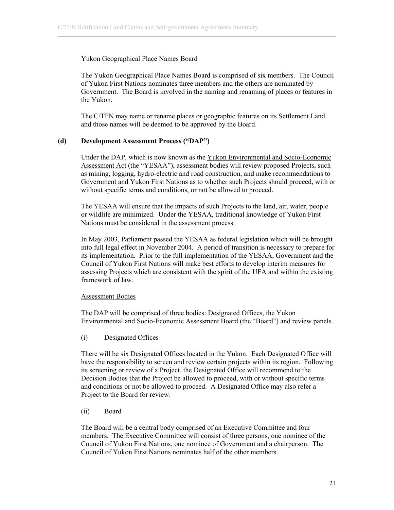## Yukon Geographical Place Names Board

The Yukon Geographical Place Names Board is comprised of six members. The Council of Yukon First Nations nominates three members and the others are nominated by Government. The Board is involved in the naming and renaming of places or features in the Yukon.

The C/TFN may name or rename places or geographic features on its Settlement Land and those names will be deemed to be approved by the Board.

# **(d) Development Assessment Process ("DAP")**

Under the DAP, which is now known as the Yukon Environmental and Socio-Economic Assessment Act (the "YESAA"), assessment bodies will review proposed Projects, such as mining, logging, hydro-electric and road construction, and make recommendations to Government and Yukon First Nations as to whether such Projects should proceed, with or without specific terms and conditions, or not be allowed to proceed.

The YESAA will ensure that the impacts of such Projects to the land, air, water, people or wildlife are minimized. Under the YESAA, traditional knowledge of Yukon First Nations must be considered in the assessment process.

In May 2003, Parliament passed the YESAA as federal legislation which will be brought into full legal effect in November 2004. A period of transition is necessary to prepare for its implementation. Prior to the full implementation of the YESAA, Government and the Council of Yukon First Nations will make best efforts to develop interim measures for assessing Projects which are consistent with the spirit of the UFA and within the existing framework of law.

## Assessment Bodies

The DAP will be comprised of three bodies: Designated Offices, the Yukon Environmental and Socio-Economic Assessment Board (the "Board") and review panels.

(i) Designated Offices

There will be six Designated Offices located in the Yukon. Each Designated Office will have the responsibility to screen and review certain projects within its region. Following its screening or review of a Project, the Designated Office will recommend to the Decision Bodies that the Project be allowed to proceed, with or without specific terms and conditions or not be allowed to proceed. A Designated Office may also refer a Project to the Board for review.

(ii) Board

The Board will be a central body comprised of an Executive Committee and four members. The Executive Committee will consist of three persons, one nominee of the Council of Yukon First Nations, one nominee of Government and a chairperson. The Council of Yukon First Nations nominates half of the other members.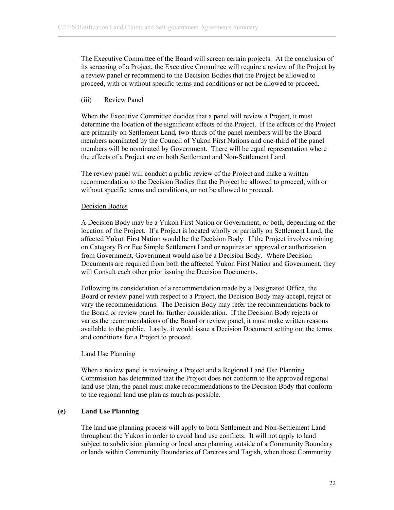The Executive Committee of the Board will screen certain projects. At the conclusion of its screening of a Project, the Executive Committee will require a review of the Project by a review panel or recommend to the Decision Bodies that the Project be allowed to proceed, with or without specific terms and conditions or not be allowed to proceed.

#### (iii) Review Panel

When the Executive Committee decides that a panel will review a Project, it must determine the location of the significant effects of the Project. If the effects of the Project are primarily on Settlement Land, two-thirds of the panel members will be the Board members nominated by the Council of Yukon First Nations and one-third of the panel members will be nominated by Government. There will be equal representation where the effects of a Project are on both Settlement and Non-Settlement Land.

The review panel will conduct a public review of the Project and make a written recommendation to the Decision Bodies that the Project be allowed to proceed, with or without specific terms and conditions, or not be allowed to proceed.

#### Decision Bodies

A Decision Body may be a Yukon First Nation or Government, or both, depending on the location of the Project. If a Project is located wholly or partially on Settlement Land, the affected Yukon First Nation would be the Decision Body. If the Project involves mining on Category B or Fee Simple Settlement Land or requires an approval or authorization from Government, Government would also be a Decision Body. Where Decision Documents are required from both the affected Yukon First Nation and Government, they will Consult each other prior issuing the Decision Documents.

Following its consideration of a recommendation made by a Designated Office, the Board or review panel with respect to a Project, the Decision Body may accept, reject or vary the recommendations. The Decision Body may refer the recommendations back to the Board or review panel for further consideration. If the Decision Body rejects or varies the recommendations of the Board or review panel, it must make written reasons available to the public. Lastly, it would issue a Decision Document setting out the terms and conditions for a Project to proceed.

#### Land Use Planning

When a review panel is reviewing a Project and a Regional Land Use Planning Commission has determined that the Project does not conform to the approved regional land use plan, the panel must make recommendations to the Decision Body that conform to the regional land use plan as much as possible.

## **(e) Land Use Planning**

The land use planning process will apply to both Settlement and Non-Settlement Land throughout the Yukon in order to avoid land use conflicts. It will not apply to land subject to subdivision planning or local area planning outside of a Community Boundary or lands within Community Boundaries of Carcross and Tagish, when those Community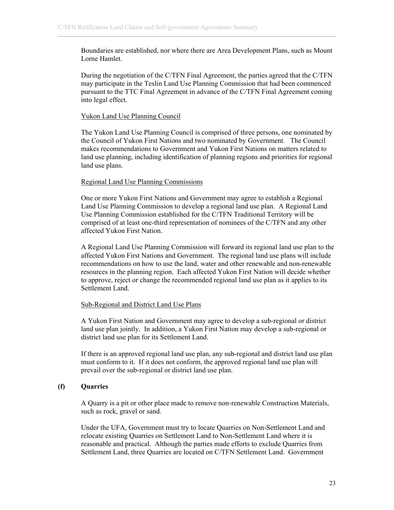Boundaries are established, nor where there are Area Development Plans, such as Mount Lorne Hamlet.

During the negotiation of the C/TFN Final Agreement, the parties agreed that the C/TFN may participate in the Teslin Land Use Planning Commission that had been commenced pursuant to the TTC Final Agreement in advance of the C/TFN Final Agreement coming into legal effect.

#### Yukon Land Use Planning Council

The Yukon Land Use Planning Council is comprised of three persons, one nominated by the Council of Yukon First Nations and two nominated by Government. The Council makes recommendations to Government and Yukon First Nations on matters related to land use planning, including identification of planning regions and priorities for regional land use plans.

#### Regional Land Use Planning Commissions

One or more Yukon First Nations and Government may agree to establish a Regional Land Use Planning Commission to develop a regional land use plan. A Regional Land Use Planning Commission established for the C/TFN Traditional Territory will be comprised of at least one-third representation of nominees of the C/TFN and any other affected Yukon First Nation.

A Regional Land Use Planning Commission will forward its regional land use plan to the affected Yukon First Nations and Government. The regional land use plans will include recommendations on how to use the land, water and other renewable and non-renewable resources in the planning region. Each affected Yukon First Nation will decide whether to approve, reject or change the recommended regional land use plan as it applies to its Settlement Land.

## Sub-Regional and District Land Use Plans

A Yukon First Nation and Government may agree to develop a sub-regional or district land use plan jointly. In addition, a Yukon First Nation may develop a sub-regional or district land use plan for its Settlement Land.

If there is an approved regional land use plan, any sub-regional and district land use plan must conform to it. If it does not conform, the approved regional land use plan will prevail over the sub-regional or district land use plan.

# **(f) Quarries**

A Quarry is a pit or other place made to remove non-renewable Construction Materials, such as rock, gravel or sand.

Under the UFA, Government must try to locate Quarries on Non-Settlement Land and relocate existing Quarries on Settlement Land to Non-Settlement Land where it is reasonable and practical. Although the parties made efforts to exclude Quarries from Settlement Land, three Quarries are located on C/TFN Settlement Land. Government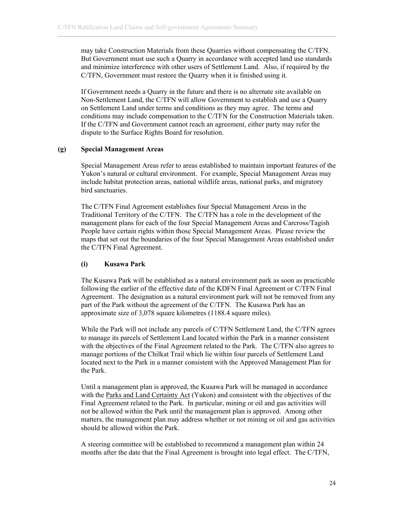may take Construction Materials from these Quarries without compensating the C/TFN. But Government must use such a Quarry in accordance with accepted land use standards and minimize interference with other users of Settlement Land. Also, if required by the C/TFN, Government must restore the Quarry when it is finished using it.

If Government needs a Quarry in the future and there is no alternate site available on Non-Settlement Land, the C/TFN will allow Government to establish and use a Quarry on Settlement Land under terms and conditions as they may agree. The terms and conditions may include compensation to the C/TFN for the Construction Materials taken. If the C/TFN and Government cannot reach an agreement, either party may refer the dispute to the Surface Rights Board for resolution.

## **(g) Special Management Areas**

Special Management Areas refer to areas established to maintain important features of the Yukon's natural or cultural environment. For example, Special Management Areas may include habitat protection areas, national wildlife areas, national parks, and migratory bird sanctuaries.

The C/TFN Final Agreement establishes four Special Management Areas in the Traditional Territory of the C/TFN. The C/TFN has a role in the development of the management plans for each of the four Special Management Areas and Carcross/Tagish People have certain rights within those Special Management Areas. Please review the maps that set out the boundaries of the four Special Management Areas established under the C/TFN Final Agreement.

## **(i) Kusawa Park**

The Kusawa Park will be established as a natural environment park as soon as practicable following the earlier of the effective date of the KDFN Final Agreement or C/TFN Final Agreement. The designation as a natural environment park will not be removed from any part of the Park without the agreement of the C/TFN. The Kusawa Park has an approximate size of 3,078 square kilometres (1188.4 square miles).

While the Park will not include any parcels of C/TFN Settlement Land, the C/TFN agrees to manage its parcels of Settlement Land located within the Park in a manner consistent with the objectives of the Final Agreement related to the Park. The C/TFN also agrees to manage portions of the Chilkat Trail which lie within four parcels of Settlement Land located next to the Park in a manner consistent with the Approved Management Plan for the Park.

Until a management plan is approved, the Kusawa Park will be managed in accordance with the Parks and Land Certainty Act (Yukon) and consistent with the objectives of the Final Agreement related to the Park. In particular, mining or oil and gas activities will not be allowed within the Park until the management plan is approved. Among other matters, the management plan may address whether or not mining or oil and gas activities should be allowed within the Park.

A steering committee will be established to recommend a management plan within 24 months after the date that the Final Agreement is brought into legal effect. The C/TFN,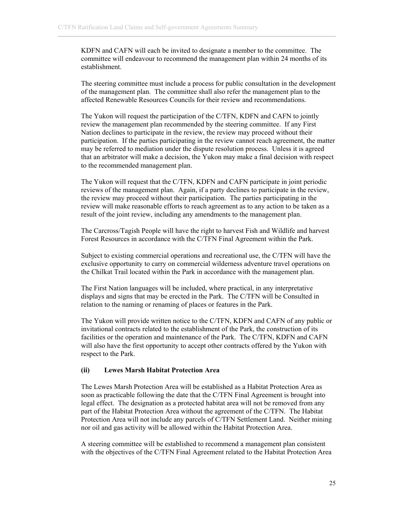KDFN and CAFN will each be invited to designate a member to the committee. The committee will endeavour to recommend the management plan within 24 months of its establishment.

The steering committee must include a process for public consultation in the development of the management plan. The committee shall also refer the management plan to the affected Renewable Resources Councils for their review and recommendations.

The Yukon will request the participation of the C/TFN, KDFN and CAFN to jointly review the management plan recommended by the steering committee. If any First Nation declines to participate in the review, the review may proceed without their participation. If the parties participating in the review cannot reach agreement, the matter may be referred to mediation under the dispute resolution process. Unless it is agreed that an arbitrator will make a decision, the Yukon may make a final decision with respect to the recommended management plan.

The Yukon will request that the C/TFN, KDFN and CAFN participate in joint periodic reviews of the management plan. Again, if a party declines to participate in the review, the review may proceed without their participation. The parties participating in the review will make reasonable efforts to reach agreement as to any action to be taken as a result of the joint review, including any amendments to the management plan.

The Carcross/Tagish People will have the right to harvest Fish and Wildlife and harvest Forest Resources in accordance with the C/TFN Final Agreement within the Park.

Subject to existing commercial operations and recreational use, the C/TFN will have the exclusive opportunity to carry on commercial wilderness adventure travel operations on the Chilkat Trail located within the Park in accordance with the management plan.

The First Nation languages will be included, where practical, in any interpretative displays and signs that may be erected in the Park. The C/TFN will be Consulted in relation to the naming or renaming of places or features in the Park.

The Yukon will provide written notice to the C/TFN, KDFN and CAFN of any public or invitational contracts related to the establishment of the Park, the construction of its facilities or the operation and maintenance of the Park. The C/TFN, KDFN and CAFN will also have the first opportunity to accept other contracts offered by the Yukon with respect to the Park.

## **(ii) Lewes Marsh Habitat Protection Area**

The Lewes Marsh Protection Area will be established as a Habitat Protection Area as soon as practicable following the date that the C/TFN Final Agreement is brought into legal effect. The designation as a protected habitat area will not be removed from any part of the Habitat Protection Area without the agreement of the C/TFN. The Habitat Protection Area will not include any parcels of C/TFN Settlement Land. Neither mining nor oil and gas activity will be allowed within the Habitat Protection Area.

A steering committee will be established to recommend a management plan consistent with the objectives of the C/TFN Final Agreement related to the Habitat Protection Area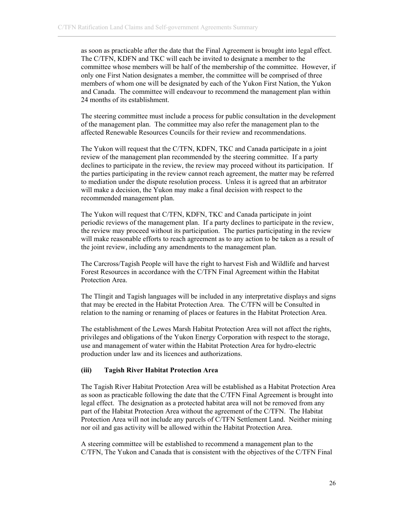as soon as practicable after the date that the Final Agreement is brought into legal effect. The C/TFN, KDFN and TKC will each be invited to designate a member to the committee whose members will be half of the membership of the committee. However, if only one First Nation designates a member, the committee will be comprised of three members of whom one will be designated by each of the Yukon First Nation, the Yukon and Canada. The committee will endeavour to recommend the management plan within 24 months of its establishment.

The steering committee must include a process for public consultation in the development of the management plan. The committee may also refer the management plan to the affected Renewable Resources Councils for their review and recommendations.

The Yukon will request that the C/TFN, KDFN, TKC and Canada participate in a joint review of the management plan recommended by the steering committee. If a party declines to participate in the review, the review may proceed without its participation. If the parties participating in the review cannot reach agreement, the matter may be referred to mediation under the dispute resolution process. Unless it is agreed that an arbitrator will make a decision, the Yukon may make a final decision with respect to the recommended management plan.

The Yukon will request that C/TFN, KDFN, TKC and Canada participate in joint periodic reviews of the management plan. If a party declines to participate in the review, the review may proceed without its participation. The parties participating in the review will make reasonable efforts to reach agreement as to any action to be taken as a result of the joint review, including any amendments to the management plan.

The Carcross/Tagish People will have the right to harvest Fish and Wildlife and harvest Forest Resources in accordance with the C/TFN Final Agreement within the Habitat Protection Area.

The Tlingit and Tagish languages will be included in any interpretative displays and signs that may be erected in the Habitat Protection Area. The C/TFN will be Consulted in relation to the naming or renaming of places or features in the Habitat Protection Area.

The establishment of the Lewes Marsh Habitat Protection Area will not affect the rights, privileges and obligations of the Yukon Energy Corporation with respect to the storage, use and management of water within the Habitat Protection Area for hydro-electric production under law and its licences and authorizations.

#### **(iii) Tagish River Habitat Protection Area**

The Tagish River Habitat Protection Area will be established as a Habitat Protection Area as soon as practicable following the date that the C/TFN Final Agreement is brought into legal effect. The designation as a protected habitat area will not be removed from any part of the Habitat Protection Area without the agreement of the C/TFN. The Habitat Protection Area will not include any parcels of C/TFN Settlement Land. Neither mining nor oil and gas activity will be allowed within the Habitat Protection Area.

A steering committee will be established to recommend a management plan to the C/TFN, The Yukon and Canada that is consistent with the objectives of the C/TFN Final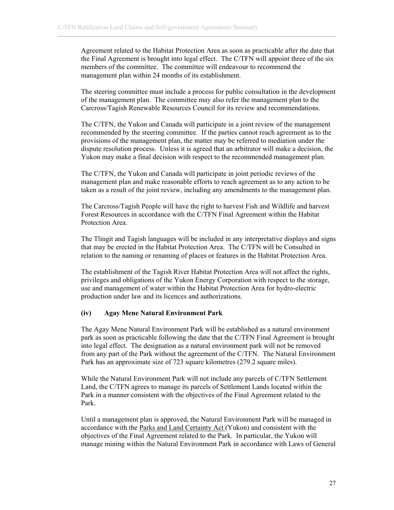Agreement related to the Habitat Protection Area as soon as practicable after the date that the Final Agreement is brought into legal effect. The C/TFN will appoint three of the six members of the committee. The committee will endeavour to recommend the management plan within 24 months of its establishment.

The steering committee must include a process for public consultation in the development of the management plan. The committee may also refer the management plan to the Carcross/Tagish Renewable Resources Council for its review and recommendations.

The C/TFN, the Yukon and Canada will participate in a joint review of the management recommended by the steering committee. If the parties cannot reach agreement as to the provisions of the management plan, the matter may be referred to mediation under the dispute resolution process. Unless it is agreed that an arbitrator will make a decision, the Yukon may make a final decision with respect to the recommended management plan.

The C/TFN, the Yukon and Canada will participate in joint periodic reviews of the management plan and make reasonable efforts to reach agreement as to any action to be taken as a result of the joint review, including any amendments to the management plan.

The Carcross/Tagish People will have the right to harvest Fish and Wildlife and harvest Forest Resources in accordance with the C/TFN Final Agreement within the Habitat Protection Area.

The Tlingit and Tagish languages will be included in any interpretative displays and signs that may be erected in the Habitat Protection Area. The C/TFN will be Consulted in relation to the naming or renaming of places or features in the Habitat Protection Area.

The establishment of the Tagish River Habitat Protection Area will not affect the rights, privileges and obligations of the Yukon Energy Corporation with respect to the storage, use and management of water within the Habitat Protection Area for hydro-electric production under law and its licences and authorizations.

## **(iv) Agay Mene Natural Environment Park**

The Agay Mene Natural Environment Park will be established as a natural environment park as soon as practicable following the date that the C/TFN Final Agreement is brought into legal effect. The designation as a natural environment park will not be removed from any part of the Park without the agreement of the C/TFN. The Natural Environment Park has an approximate size of 723 square kilometres (279.2 square miles).

While the Natural Environment Park will not include any parcels of C/TFN Settlement Land, the C/TFN agrees to manage its parcels of Settlement Lands located within the Park in a manner consistent with the objectives of the Final Agreement related to the Park.

Until a management plan is approved, the Natural Environment Park will be managed in accordance with the Parks and Land Certainty Act (Yukon) and consistent with the objectives of the Final Agreement related to the Park. In particular, the Yukon will manage mining within the Natural Environment Park in accordance with Laws of General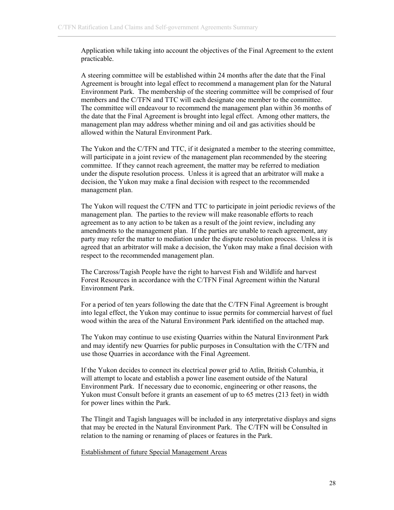Application while taking into account the objectives of the Final Agreement to the extent practicable.

A steering committee will be established within 24 months after the date that the Final Agreement is brought into legal effect to recommend a management plan for the Natural Environment Park. The membership of the steering committee will be comprised of four members and the C/TFN and TTC will each designate one member to the committee. The committee will endeavour to recommend the management plan within 36 months of the date that the Final Agreement is brought into legal effect. Among other matters, the management plan may address whether mining and oil and gas activities should be allowed within the Natural Environment Park.

The Yukon and the C/TFN and TTC, if it designated a member to the steering committee, will participate in a joint review of the management plan recommended by the steering committee. If they cannot reach agreement, the matter may be referred to mediation under the dispute resolution process. Unless it is agreed that an arbitrator will make a decision, the Yukon may make a final decision with respect to the recommended management plan.

The Yukon will request the C/TFN and TTC to participate in joint periodic reviews of the management plan. The parties to the review will make reasonable efforts to reach agreement as to any action to be taken as a result of the joint review, including any amendments to the management plan. If the parties are unable to reach agreement, any party may refer the matter to mediation under the dispute resolution process. Unless it is agreed that an arbitrator will make a decision, the Yukon may make a final decision with respect to the recommended management plan.

The Carcross/Tagish People have the right to harvest Fish and Wildlife and harvest Forest Resources in accordance with the C/TFN Final Agreement within the Natural Environment Park.

For a period of ten years following the date that the C/TFN Final Agreement is brought into legal effect, the Yukon may continue to issue permits for commercial harvest of fuel wood within the area of the Natural Environment Park identified on the attached map.

The Yukon may continue to use existing Quarries within the Natural Environment Park and may identify new Quarries for public purposes in Consultation with the C/TFN and use those Quarries in accordance with the Final Agreement.

If the Yukon decides to connect its electrical power grid to Atlin, British Columbia, it will attempt to locate and establish a power line easement outside of the Natural Environment Park. If necessary due to economic, engineering or other reasons, the Yukon must Consult before it grants an easement of up to 65 metres (213 feet) in width for power lines within the Park.

The Tlingit and Tagish languages will be included in any interpretative displays and signs that may be erected in the Natural Environment Park. The C/TFN will be Consulted in relation to the naming or renaming of places or features in the Park.

#### Establishment of future Special Management Areas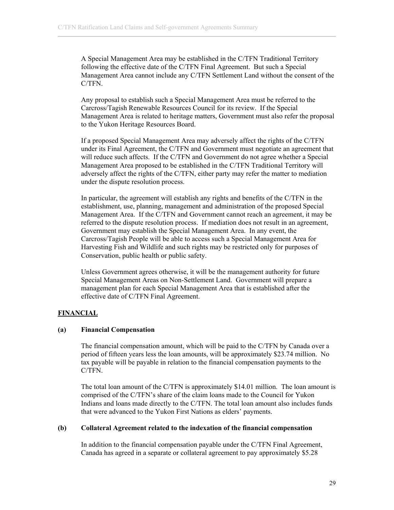A Special Management Area may be established in the C/TFN Traditional Territory following the effective date of the C/TFN Final Agreement. But such a Special Management Area cannot include any C/TFN Settlement Land without the consent of the C/TFN.

Any proposal to establish such a Special Management Area must be referred to the Carcross/Tagish Renewable Resources Council for its review. If the Special Management Area is related to heritage matters, Government must also refer the proposal to the Yukon Heritage Resources Board.

If a proposed Special Management Area may adversely affect the rights of the C/TFN under its Final Agreement, the C/TFN and Government must negotiate an agreement that will reduce such affects. If the C/TFN and Government do not agree whether a Special Management Area proposed to be established in the C/TFN Traditional Territory will adversely affect the rights of the C/TFN, either party may refer the matter to mediation under the dispute resolution process.

In particular, the agreement will establish any rights and benefits of the C/TFN in the establishment, use, planning, management and administration of the proposed Special Management Area. If the C/TFN and Government cannot reach an agreement, it may be referred to the dispute resolution process. If mediation does not result in an agreement, Government may establish the Special Management Area. In any event, the Carcross/Tagish People will be able to access such a Special Management Area for Harvesting Fish and Wildlife and such rights may be restricted only for purposes of Conservation, public health or public safety.

Unless Government agrees otherwise, it will be the management authority for future Special Management Areas on Non-Settlement Land. Government will prepare a management plan for each Special Management Area that is established after the effective date of C/TFN Final Agreement.

## **FINANCIAL**

## **(a) Financial Compensation**

The financial compensation amount, which will be paid to the C/TFN by Canada over a period of fifteen years less the loan amounts, will be approximately \$23.74 million. No tax payable will be payable in relation to the financial compensation payments to the C/TFN.

The total loan amount of the C/TFN is approximately \$14.01 million. The loan amount is comprised of the C/TFN's share of the claim loans made to the Council for Yukon Indians and loans made directly to the C/TFN. The total loan amount also includes funds that were advanced to the Yukon First Nations as elders' payments.

#### **(b) Collateral Agreement related to the indexation of the financial compensation**

In addition to the financial compensation payable under the C/TFN Final Agreement, Canada has agreed in a separate or collateral agreement to pay approximately \$5.28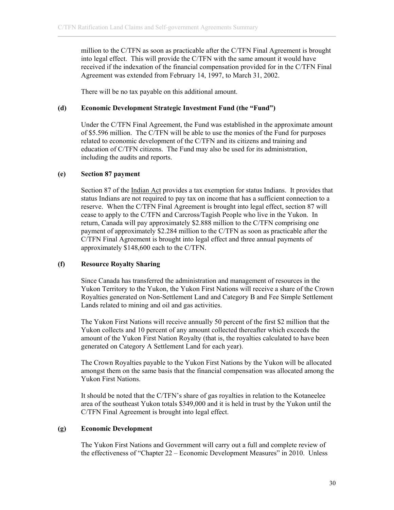million to the C/TFN as soon as practicable after the C/TFN Final Agreement is brought into legal effect. This will provide the C/TFN with the same amount it would have received if the indexation of the financial compensation provided for in the C/TFN Final Agreement was extended from February 14, 1997, to March 31, 2002.

There will be no tax payable on this additional amount.

# **(d) Economic Development Strategic Investment Fund (the "Fund")**

Under the C/TFN Final Agreement, the Fund was established in the approximate amount of \$5.596 million. The C/TFN will be able to use the monies of the Fund for purposes related to economic development of the C/TFN and its citizens and training and education of C/TFN citizens. The Fund may also be used for its administration, including the audits and reports.

# **(e) Section 87 payment**

Section 87 of the <u>Indian Act</u> provides a tax exemption for status Indians. It provides that status Indians are not required to pay tax on income that has a sufficient connection to a reserve. When the C/TFN Final Agreement is brought into legal effect, section 87 will cease to apply to the C/TFN and Carcross/Tagish People who live in the Yukon. In return, Canada will pay approximately \$2.888 million to the C/TFN comprising one payment of approximately \$2.284 million to the C/TFN as soon as practicable after the C/TFN Final Agreement is brought into legal effect and three annual payments of approximately \$148,600 each to the C/TFN.

## **(f) Resource Royalty Sharing**

Since Canada has transferred the administration and management of resources in the Yukon Territory to the Yukon, the Yukon First Nations will receive a share of the Crown Royalties generated on Non-Settlement Land and Category B and Fee Simple Settlement Lands related to mining and oil and gas activities.

The Yukon First Nations will receive annually 50 percent of the first \$2 million that the Yukon collects and 10 percent of any amount collected thereafter which exceeds the amount of the Yukon First Nation Royalty (that is, the royalties calculated to have been generated on Category A Settlement Land for each year).

The Crown Royalties payable to the Yukon First Nations by the Yukon will be allocated amongst them on the same basis that the financial compensation was allocated among the Yukon First Nations.

It should be noted that the C/TFN's share of gas royalties in relation to the Kotaneelee area of the southeast Yukon totals \$349,000 and it is held in trust by the Yukon until the C/TFN Final Agreement is brought into legal effect.

# **(g) Economic Development**

The Yukon First Nations and Government will carry out a full and complete review of the effectiveness of "Chapter 22 – Economic Development Measures" in 2010. Unless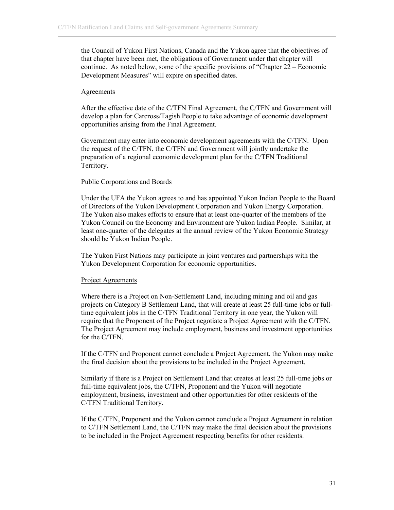the Council of Yukon First Nations, Canada and the Yukon agree that the objectives of that chapter have been met, the obligations of Government under that chapter will continue. As noted below, some of the specific provisions of "Chapter 22 – Economic Development Measures" will expire on specified dates.

#### **Agreements**

After the effective date of the C/TFN Final Agreement, the C/TFN and Government will develop a plan for Carcross/Tagish People to take advantage of economic development opportunities arising from the Final Agreement.

Government may enter into economic development agreements with the C/TFN. Upon the request of the C/TFN, the C/TFN and Government will jointly undertake the preparation of a regional economic development plan for the C/TFN Traditional Territory.

#### Public Corporations and Boards

Under the UFA the Yukon agrees to and has appointed Yukon Indian People to the Board of Directors of the Yukon Development Corporation and Yukon Energy Corporation. The Yukon also makes efforts to ensure that at least one-quarter of the members of the Yukon Council on the Economy and Environment are Yukon Indian People. Similar, at least one-quarter of the delegates at the annual review of the Yukon Economic Strategy should be Yukon Indian People.

The Yukon First Nations may participate in joint ventures and partnerships with the Yukon Development Corporation for economic opportunities.

#### Project Agreements

Where there is a Project on Non-Settlement Land, including mining and oil and gas projects on Category B Settlement Land, that will create at least 25 full-time jobs or fulltime equivalent jobs in the C/TFN Traditional Territory in one year, the Yukon will require that the Proponent of the Project negotiate a Project Agreement with the C/TFN. The Project Agreement may include employment, business and investment opportunities for the C/TFN.

If the C/TFN and Proponent cannot conclude a Project Agreement, the Yukon may make the final decision about the provisions to be included in the Project Agreement.

Similarly if there is a Project on Settlement Land that creates at least 25 full-time jobs or full-time equivalent jobs, the C/TFN, Proponent and the Yukon will negotiate employment, business, investment and other opportunities for other residents of the C/TFN Traditional Territory.

If the C/TFN, Proponent and the Yukon cannot conclude a Project Agreement in relation to C/TFN Settlement Land, the C/TFN may make the final decision about the provisions to be included in the Project Agreement respecting benefits for other residents.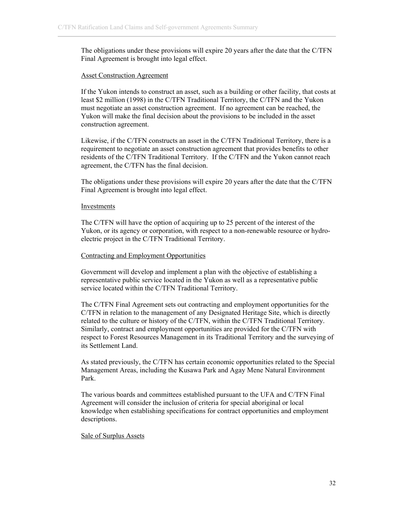The obligations under these provisions will expire 20 years after the date that the C/TFN Final Agreement is brought into legal effect.

#### Asset Construction Agreement

If the Yukon intends to construct an asset, such as a building or other facility, that costs at least \$2 million (1998) in the C/TFN Traditional Territory, the C/TFN and the Yukon must negotiate an asset construction agreement. If no agreement can be reached, the Yukon will make the final decision about the provisions to be included in the asset construction agreement.

Likewise, if the C/TFN constructs an asset in the C/TFN Traditional Territory, there is a requirement to negotiate an asset construction agreement that provides benefits to other residents of the C/TFN Traditional Territory. If the C/TFN and the Yukon cannot reach agreement, the C/TFN has the final decision.

The obligations under these provisions will expire 20 years after the date that the C/TFN Final Agreement is brought into legal effect.

#### Investments

The C/TFN will have the option of acquiring up to 25 percent of the interest of the Yukon, or its agency or corporation, with respect to a non-renewable resource or hydroelectric project in the C/TFN Traditional Territory.

#### Contracting and Employment Opportunities

Government will develop and implement a plan with the objective of establishing a representative public service located in the Yukon as well as a representative public service located within the C/TFN Traditional Territory.

The C/TFN Final Agreement sets out contracting and employment opportunities for the C/TFN in relation to the management of any Designated Heritage Site, which is directly related to the culture or history of the C/TFN, within the C/TFN Traditional Territory. Similarly, contract and employment opportunities are provided for the C/TFN with respect to Forest Resources Management in its Traditional Territory and the surveying of its Settlement Land.

As stated previously, the C/TFN has certain economic opportunities related to the Special Management Areas, including the Kusawa Park and Agay Mene Natural Environment Park.

The various boards and committees established pursuant to the UFA and C/TFN Final Agreement will consider the inclusion of criteria for special aboriginal or local knowledge when establishing specifications for contract opportunities and employment descriptions.

#### Sale of Surplus Assets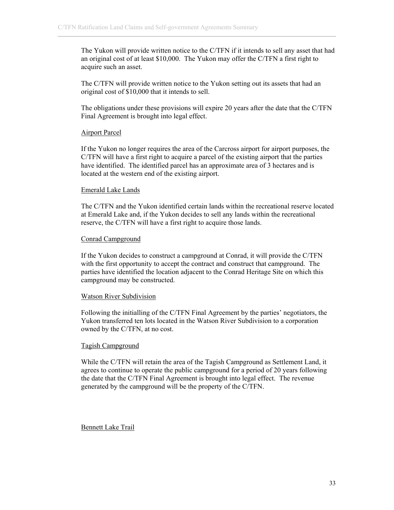The Yukon will provide written notice to the C/TFN if it intends to sell any asset that had an original cost of at least \$10,000. The Yukon may offer the C/TFN a first right to acquire such an asset.

The C/TFN will provide written notice to the Yukon setting out its assets that had an original cost of \$10,000 that it intends to sell.

The obligations under these provisions will expire 20 years after the date that the C/TFN Final Agreement is brought into legal effect.

## Airport Parcel

If the Yukon no longer requires the area of the Carcross airport for airport purposes, the C/TFN will have a first right to acquire a parcel of the existing airport that the parties have identified. The identified parcel has an approximate area of 3 hectares and is located at the western end of the existing airport.

# Emerald Lake Lands

The C/TFN and the Yukon identified certain lands within the recreational reserve located at Emerald Lake and, if the Yukon decides to sell any lands within the recreational reserve, the C/TFN will have a first right to acquire those lands.

# Conrad Campground

If the Yukon decides to construct a campground at Conrad, it will provide the C/TFN with the first opportunity to accept the contract and construct that campground. The parties have identified the location adjacent to the Conrad Heritage Site on which this campground may be constructed.

## Watson River Subdivision

Following the initialling of the C/TFN Final Agreement by the parties' negotiators, the Yukon transferred ten lots located in the Watson River Subdivision to a corporation owned by the C/TFN, at no cost.

## Tagish Campground

While the C/TFN will retain the area of the Tagish Campground as Settlement Land, it agrees to continue to operate the public campground for a period of 20 years following the date that the C/TFN Final Agreement is brought into legal effect. The revenue generated by the campground will be the property of the C/TFN.

## Bennett Lake Trail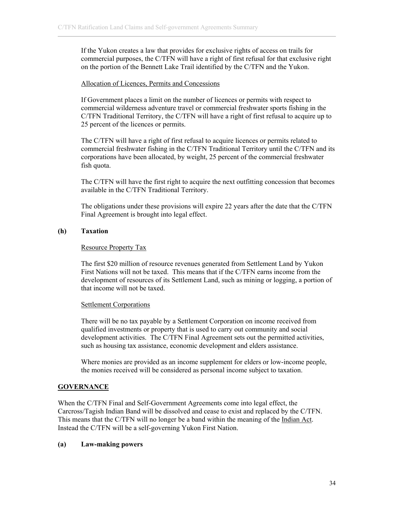If the Yukon creates a law that provides for exclusive rights of access on trails for commercial purposes, the C/TFN will have a right of first refusal for that exclusive right on the portion of the Bennett Lake Trail identified by the C/TFN and the Yukon.

## Allocation of Licences, Permits and Concessions

If Government places a limit on the number of licences or permits with respect to commercial wilderness adventure travel or commercial freshwater sports fishing in the C/TFN Traditional Territory, the C/TFN will have a right of first refusal to acquire up to 25 percent of the licences or permits.

The C/TFN will have a right of first refusal to acquire licences or permits related to commercial freshwater fishing in the C/TFN Traditional Territory until the C/TFN and its corporations have been allocated, by weight, 25 percent of the commercial freshwater fish quota.

The C/TFN will have the first right to acquire the next outfitting concession that becomes available in the C/TFN Traditional Territory.

The obligations under these provisions will expire 22 years after the date that the C/TFN Final Agreement is brought into legal effect.

# **(h) Taxation**

## Resource Property Tax

The first \$20 million of resource revenues generated from Settlement Land by Yukon First Nations will not be taxed. This means that if the C/TFN earns income from the development of resources of its Settlement Land, such as mining or logging, a portion of that income will not be taxed.

## Settlement Corporations

There will be no tax payable by a Settlement Corporation on income received from qualified investments or property that is used to carry out community and social development activities. The C/TFN Final Agreement sets out the permitted activities, such as housing tax assistance, economic development and elders assistance.

Where monies are provided as an income supplement for elders or low-income people, the monies received will be considered as personal income subject to taxation.

# **GOVERNANCE**

When the C/TFN Final and Self-Government Agreements come into legal effect, the Carcross/Tagish Indian Band will be dissolved and cease to exist and replaced by the C/TFN. This means that the C/TFN will no longer be a band within the meaning of the Indian Act. Instead the C/TFN will be a self-governing Yukon First Nation.

## **(a) Law-making powers**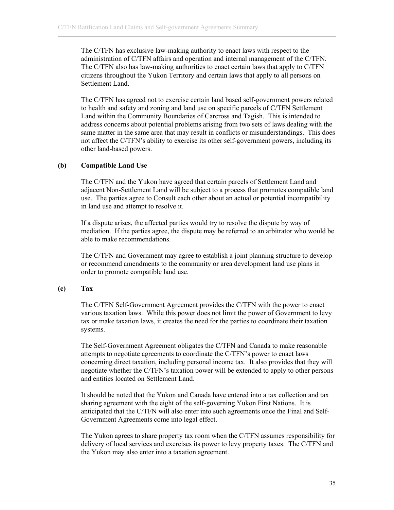The C/TFN has exclusive law-making authority to enact laws with respect to the administration of C/TFN affairs and operation and internal management of the C/TFN. The C/TFN also has law-making authorities to enact certain laws that apply to C/TFN citizens throughout the Yukon Territory and certain laws that apply to all persons on Settlement Land.

The C/TFN has agreed not to exercise certain land based self-government powers related to health and safety and zoning and land use on specific parcels of C/TFN Settlement Land within the Community Boundaries of Carcross and Tagish. This is intended to address concerns about potential problems arising from two sets of laws dealing with the same matter in the same area that may result in conflicts or misunderstandings. This does not affect the C/TFN's ability to exercise its other self-government powers, including its other land-based powers.

#### **(b) Compatible Land Use**

The C/TFN and the Yukon have agreed that certain parcels of Settlement Land and adjacent Non-Settlement Land will be subject to a process that promotes compatible land use. The parties agree to Consult each other about an actual or potential incompatibility in land use and attempt to resolve it.

If a dispute arises, the affected parties would try to resolve the dispute by way of mediation. If the parties agree, the dispute may be referred to an arbitrator who would be able to make recommendations.

The C/TFN and Government may agree to establish a joint planning structure to develop or recommend amendments to the community or area development land use plans in order to promote compatible land use.

## **(c) Tax**

The C/TFN Self-Government Agreement provides the C/TFN with the power to enact various taxation laws. While this power does not limit the power of Government to levy tax or make taxation laws, it creates the need for the parties to coordinate their taxation systems.

The Self-Government Agreement obligates the C/TFN and Canada to make reasonable attempts to negotiate agreements to coordinate the C/TFN's power to enact laws concerning direct taxation, including personal income tax. It also provides that they will negotiate whether the C/TFN's taxation power will be extended to apply to other persons and entities located on Settlement Land.

It should be noted that the Yukon and Canada have entered into a tax collection and tax sharing agreement with the eight of the self-governing Yukon First Nations. It is anticipated that the C/TFN will also enter into such agreements once the Final and Self-Government Agreements come into legal effect.

The Yukon agrees to share property tax room when the C/TFN assumes responsibility for delivery of local services and exercises its power to levy property taxes. The C/TFN and the Yukon may also enter into a taxation agreement.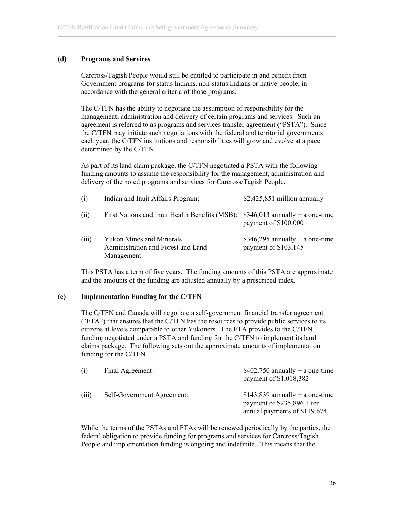# **(d) Programs and Services**

Carcross/Tagish People would still be entitled to participate in and benefit from Government programs for status Indians, non-status Indians or native people, in accordance with the general criteria of those programs.

The C/TFN has the ability to negotiate the assumption of responsibility for the management, administration and delivery of certain programs and services. Such an agreement is referred to as programs and services transfer agreement ("PSTA"). Since the C/TFN may initiate such negotiations with the federal and territorial governments each year, the C/TFN institutions and responsibilities will grow and evolve at a pace determined by the C/TFN.

As part of its land claim package, the C/TFN negotiated a PSTA with the following funding amounts to assume the responsibility for the management, administration and delivery of the noted programs and services for Carcross/Tagish People.

| (i)   | Indian and Inuit Affairs Program:                                                    | $$2,425,851$ million annually                           |
|-------|--------------------------------------------------------------------------------------|---------------------------------------------------------|
| (ii)  | First Nations and Inuit Health Benefits (MSB): $$346,013$ annually + a one-time      | payment of \$100,000                                    |
| (iii) | <b>Yukon Mines and Minerals</b><br>Administration and Forest and Land<br>Management: | \$346,295 annually + a one-time<br>payment of \$103,145 |

This PSTA has a term of five years. The funding amounts of this PSTA are approximate and the amounts of the funding are adjusted annually by a prescribed index.

## **(e) Implementation Funding for the C/TFN**

The C/TFN and Canada will negotiate a self-government financial transfer agreement (" $\text{FTA}$ ") that ensures that the C/TFN has the resources to provide public services to its citizens at levels comparable to other Yukoners. The FTA provides to the C/TFN funding negotiated under a PSTA and funding for the C/TFN to implement its land claims package. The following sets out the approximate amounts of implementation funding for the C/TFN.

| (i)   | Final Agreement:           | $$402,750$ annually + a one-time<br>payment of \$1,018,382                                      |
|-------|----------------------------|-------------------------------------------------------------------------------------------------|
| (iii) | Self-Government Agreement: | $$143,839$ annually + a one-time<br>payment of $$235,896 + ten$<br>annual payments of \$119,674 |

While the terms of the PSTAs and FTAs will be renewed periodically by the parties, the federal obligation to provide funding for programs and services for Carcross/Tagish People and implementation funding is ongoing and indefinite. This means that the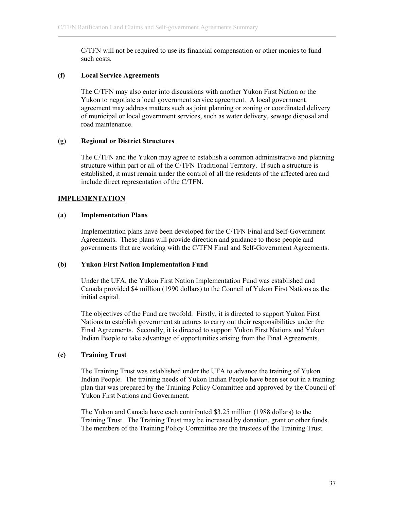C/TFN will not be required to use its financial compensation or other monies to fund such costs.

### **(f) Local Service Agreements**

The C/TFN may also enter into discussions with another Yukon First Nation or the Yukon to negotiate a local government service agreement. A local government agreement may address matters such as joint planning or zoning or coordinated delivery of municipal or local government services, such as water delivery, sewage disposal and road maintenance.

#### **(g) Regional or District Structures**

The C/TFN and the Yukon may agree to establish a common administrative and planning structure within part or all of the C/TFN Traditional Territory. If such a structure is established, it must remain under the control of all the residents of the affected area and include direct representation of the C/TFN.

## **IMPLEMENTATION**

#### **(a) Implementation Plans**

Implementation plans have been developed for the C/TFN Final and Self-Government Agreements. These plans will provide direction and guidance to those people and governments that are working with the C/TFN Final and Self-Government Agreements.

## **(b) Yukon First Nation Implementation Fund**

Under the UFA, the Yukon First Nation Implementation Fund was established and Canada provided \$4 million (1990 dollars) to the Council of Yukon First Nations as the initial capital.

The objectives of the Fund are twofold. Firstly, it is directed to support Yukon First Nations to establish government structures to carry out their responsibilities under the Final Agreements. Secondly, it is directed to support Yukon First Nations and Yukon Indian People to take advantage of opportunities arising from the Final Agreements.

## **(c) Training Trust**

The Training Trust was established under the UFA to advance the training of Yukon Indian People. The training needs of Yukon Indian People have been set out in a training plan that was prepared by the Training Policy Committee and approved by the Council of Yukon First Nations and Government.

The Yukon and Canada have each contributed \$3.25 million (1988 dollars) to the Training Trust. The Training Trust may be increased by donation, grant or other funds. The members of the Training Policy Committee are the trustees of the Training Trust.